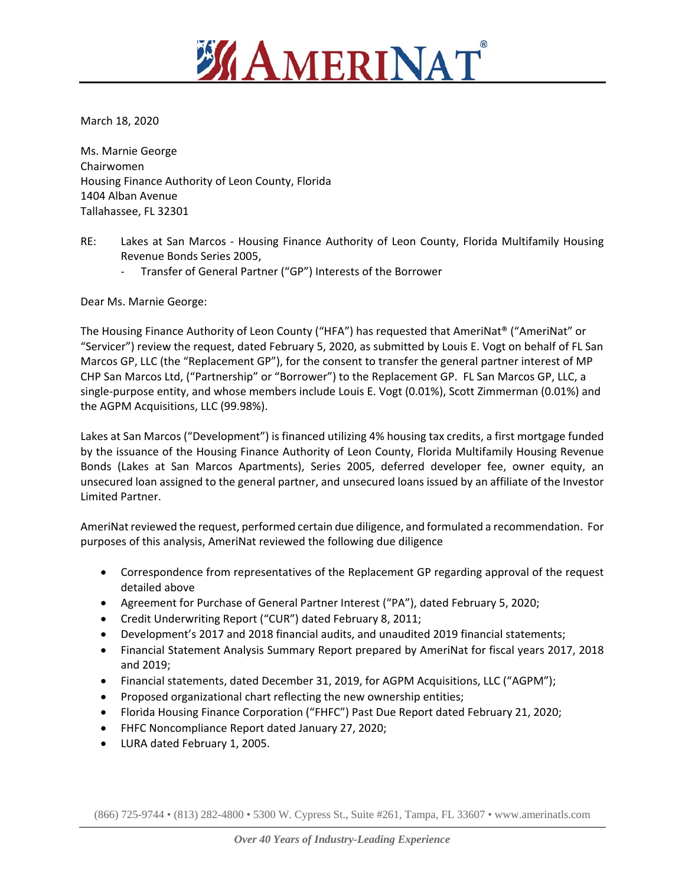# MAMERINAT

March 18, 2020

Ms. Marnie George Chairwomen Housing Finance Authority of Leon County, Florida 1404 Alban Avenue Tallahassee, FL 32301

- RE: Lakes at San Marcos Housing Finance Authority of Leon County, Florida Multifamily Housing Revenue Bonds Series 2005,
	- ‐ Transfer of General Partner ("GP") Interests of the Borrower

Dear Ms. Marnie George:

The Housing Finance Authority of Leon County ("HFA") has requested that AmeriNat® ("AmeriNat" or "Servicer") review the request, dated February 5, 2020, as submitted by Louis E. Vogt on behalf of FL San Marcos GP, LLC (the "Replacement GP"), for the consent to transfer the general partner interest of MP CHP San Marcos Ltd, ("Partnership" or "Borrower") to the Replacement GP. FL San Marcos GP, LLC, a single‐purpose entity, and whose members include Louis E. Vogt (0.01%), Scott Zimmerman (0.01%) and the AGPM Acquisitions, LLC (99.98%).

Lakes at San Marcos ("Development") is financed utilizing 4% housing tax credits, a first mortgage funded by the issuance of the Housing Finance Authority of Leon County, Florida Multifamily Housing Revenue Bonds (Lakes at San Marcos Apartments), Series 2005, deferred developer fee, owner equity, an unsecured loan assigned to the general partner, and unsecured loans issued by an affiliate of the Investor Limited Partner.

AmeriNat reviewed the request, performed certain due diligence, and formulated a recommendation. For purposes of this analysis, AmeriNat reviewed the following due diligence

- Correspondence from representatives of the Replacement GP regarding approval of the request detailed above
- Agreement for Purchase of General Partner Interest ("PA"), dated February 5, 2020;
- Credit Underwriting Report ("CUR") dated February 8, 2011;
- Development's 2017 and 2018 financial audits, and unaudited 2019 financial statements;
- Financial Statement Analysis Summary Report prepared by AmeriNat for fiscal years 2017, 2018 and 2019;
- Financial statements, dated December 31, 2019, for AGPM Acquisitions, LLC ("AGPM");
- Proposed organizational chart reflecting the new ownership entities;
- Florida Housing Finance Corporation ("FHFC") Past Due Report dated February 21, 2020;
- FHFC Noncompliance Report dated January 27, 2020;
- LURA dated February 1, 2005.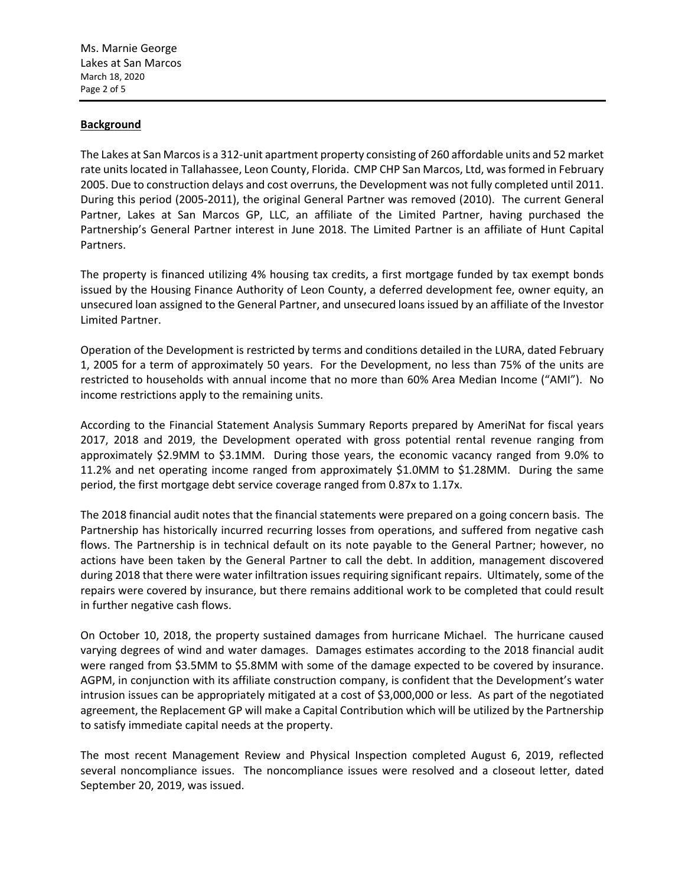#### **Background**

The Lakes at San Marcosis a 312‐unit apartment property consisting of 260 affordable units and 52 market rate units located in Tallahassee, Leon County, Florida. CMP CHP San Marcos, Ltd, was formed in February 2005. Due to construction delays and cost overruns, the Development was not fully completed until 2011. During this period (2005‐2011), the original General Partner was removed (2010). The current General Partner, Lakes at San Marcos GP, LLC, an affiliate of the Limited Partner, having purchased the Partnership's General Partner interest in June 2018. The Limited Partner is an affiliate of Hunt Capital Partners.

The property is financed utilizing 4% housing tax credits, a first mortgage funded by tax exempt bonds issued by the Housing Finance Authority of Leon County, a deferred development fee, owner equity, an unsecured loan assigned to the General Partner, and unsecured loans issued by an affiliate of the Investor Limited Partner.

Operation of the Development is restricted by terms and conditions detailed in the LURA, dated February 1, 2005 for a term of approximately 50 years. For the Development, no less than 75% of the units are restricted to households with annual income that no more than 60% Area Median Income ("AMI"). No income restrictions apply to the remaining units.

According to the Financial Statement Analysis Summary Reports prepared by AmeriNat for fiscal years 2017, 2018 and 2019, the Development operated with gross potential rental revenue ranging from approximately \$2.9MM to \$3.1MM. During those years, the economic vacancy ranged from 9.0% to 11.2% and net operating income ranged from approximately \$1.0MM to \$1.28MM. During the same period, the first mortgage debt service coverage ranged from 0.87x to 1.17x.

The 2018 financial audit notes that the financial statements were prepared on a going concern basis. The Partnership has historically incurred recurring losses from operations, and suffered from negative cash flows. The Partnership is in technical default on its note payable to the General Partner; however, no actions have been taken by the General Partner to call the debt. In addition, management discovered during 2018 that there were water infiltration issues requiring significant repairs. Ultimately, some of the repairs were covered by insurance, but there remains additional work to be completed that could result in further negative cash flows.

On October 10, 2018, the property sustained damages from hurricane Michael. The hurricane caused varying degrees of wind and water damages. Damages estimates according to the 2018 financial audit were ranged from \$3.5MM to \$5.8MM with some of the damage expected to be covered by insurance. AGPM, in conjunction with its affiliate construction company, is confident that the Development's water intrusion issues can be appropriately mitigated at a cost of \$3,000,000 or less. As part of the negotiated agreement, the Replacement GP will make a Capital Contribution which will be utilized by the Partnership to satisfy immediate capital needs at the property.

The most recent Management Review and Physical Inspection completed August 6, 2019, reflected several noncompliance issues. The noncompliance issues were resolved and a closeout letter, dated September 20, 2019, was issued.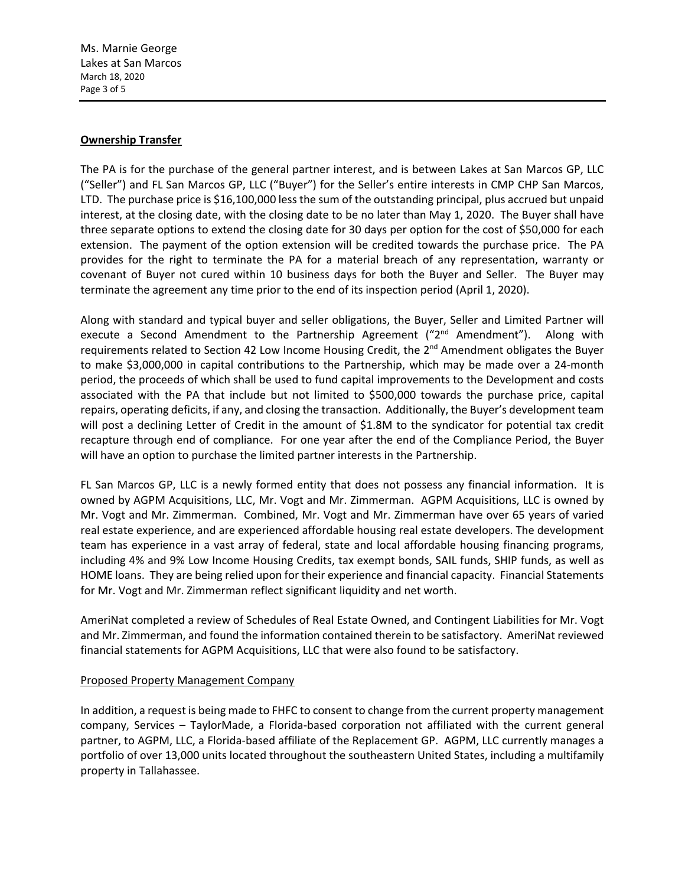#### **Ownership Transfer**

The PA is for the purchase of the general partner interest, and is between Lakes at San Marcos GP, LLC ("Seller") and FL San Marcos GP, LLC ("Buyer") for the Seller's entire interests in CMP CHP San Marcos, LTD. The purchase price is \$16,100,000 less the sum of the outstanding principal, plus accrued but unpaid interest, at the closing date, with the closing date to be no later than May 1, 2020. The Buyer shall have three separate options to extend the closing date for 30 days per option for the cost of \$50,000 for each extension. The payment of the option extension will be credited towards the purchase price. The PA provides for the right to terminate the PA for a material breach of any representation, warranty or covenant of Buyer not cured within 10 business days for both the Buyer and Seller. The Buyer may terminate the agreement any time prior to the end of its inspection period (April 1, 2020).

Along with standard and typical buyer and seller obligations, the Buyer, Seller and Limited Partner will execute a Second Amendment to the Partnership Agreement  $("2<sup>nd</sup>]$  Amendment"). Along with requirements related to Section 42 Low Income Housing Credit, the 2<sup>nd</sup> Amendment obligates the Buyer to make \$3,000,000 in capital contributions to the Partnership, which may be made over a 24-month period, the proceeds of which shall be used to fund capital improvements to the Development and costs associated with the PA that include but not limited to \$500,000 towards the purchase price, capital repairs, operating deficits, if any, and closing the transaction. Additionally, the Buyer's development team will post a declining Letter of Credit in the amount of \$1.8M to the syndicator for potential tax credit recapture through end of compliance. For one year after the end of the Compliance Period, the Buyer will have an option to purchase the limited partner interests in the Partnership.

FL San Marcos GP, LLC is a newly formed entity that does not possess any financial information. It is owned by AGPM Acquisitions, LLC, Mr. Vogt and Mr. Zimmerman. AGPM Acquisitions, LLC is owned by Mr. Vogt and Mr. Zimmerman. Combined, Mr. Vogt and Mr. Zimmerman have over 65 years of varied real estate experience, and are experienced affordable housing real estate developers. The development team has experience in a vast array of federal, state and local affordable housing financing programs, including 4% and 9% Low Income Housing Credits, tax exempt bonds, SAIL funds, SHIP funds, as well as HOME loans. They are being relied upon for their experience and financial capacity. Financial Statements for Mr. Vogt and Mr. Zimmerman reflect significant liquidity and net worth.

AmeriNat completed a review of Schedules of Real Estate Owned, and Contingent Liabilities for Mr. Vogt and Mr. Zimmerman, and found the information contained therein to be satisfactory. AmeriNat reviewed financial statements for AGPM Acquisitions, LLC that were also found to be satisfactory.

## Proposed Property Management Company

In addition, a request is being made to FHFC to consent to change from the current property management company, Services – TaylorMade, a Florida‐based corporation not affiliated with the current general partner, to AGPM, LLC, a Florida‐based affiliate of the Replacement GP. AGPM, LLC currently manages a portfolio of over 13,000 units located throughout the southeastern United States, including a multifamily property in Tallahassee.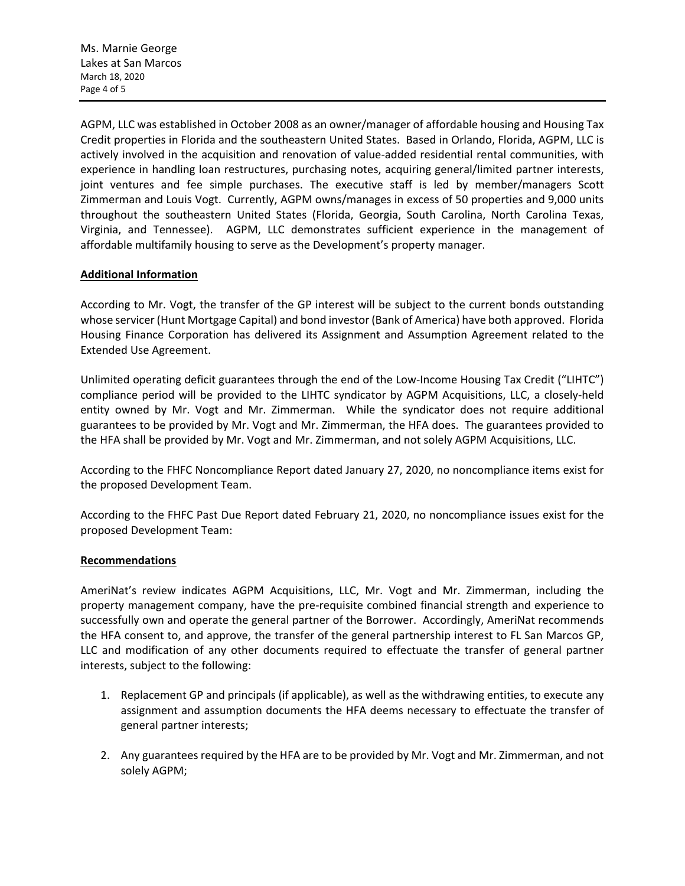AGPM, LLC was established in October 2008 as an owner/manager of affordable housing and Housing Tax Credit properties in Florida and the southeastern United States. Based in Orlando, Florida, AGPM, LLC is actively involved in the acquisition and renovation of value‐added residential rental communities, with experience in handling loan restructures, purchasing notes, acquiring general/limited partner interests, joint ventures and fee simple purchases. The executive staff is led by member/managers Scott Zimmerman and Louis Vogt. Currently, AGPM owns/manages in excess of 50 properties and 9,000 units throughout the southeastern United States (Florida, Georgia, South Carolina, North Carolina Texas, Virginia, and Tennessee). AGPM, LLC demonstrates sufficient experience in the management of affordable multifamily housing to serve as the Development's property manager.

## **Additional Information**

According to Mr. Vogt, the transfer of the GP interest will be subject to the current bonds outstanding whose servicer (Hunt Mortgage Capital) and bond investor (Bank of America) have both approved. Florida Housing Finance Corporation has delivered its Assignment and Assumption Agreement related to the Extended Use Agreement.

Unlimited operating deficit guarantees through the end of the Low‐Income Housing Tax Credit ("LIHTC") compliance period will be provided to the LIHTC syndicator by AGPM Acquisitions, LLC, a closely‐held entity owned by Mr. Vogt and Mr. Zimmerman. While the syndicator does not require additional guarantees to be provided by Mr. Vogt and Mr. Zimmerman, the HFA does. The guarantees provided to the HFA shall be provided by Mr. Vogt and Mr. Zimmerman, and not solely AGPM Acquisitions, LLC.

According to the FHFC Noncompliance Report dated January 27, 2020, no noncompliance items exist for the proposed Development Team.

According to the FHFC Past Due Report dated February 21, 2020, no noncompliance issues exist for the proposed Development Team:

## **Recommendations**

AmeriNat's review indicates AGPM Acquisitions, LLC, Mr. Vogt and Mr. Zimmerman, including the property management company, have the pre‐requisite combined financial strength and experience to successfully own and operate the general partner of the Borrower. Accordingly, AmeriNat recommends the HFA consent to, and approve, the transfer of the general partnership interest to FL San Marcos GP, LLC and modification of any other documents required to effectuate the transfer of general partner interests, subject to the following:

- 1. Replacement GP and principals (if applicable), as well as the withdrawing entities, to execute any assignment and assumption documents the HFA deems necessary to effectuate the transfer of general partner interests;
- 2. Any guarantees required by the HFA are to be provided by Mr. Vogt and Mr. Zimmerman, and not solely AGPM;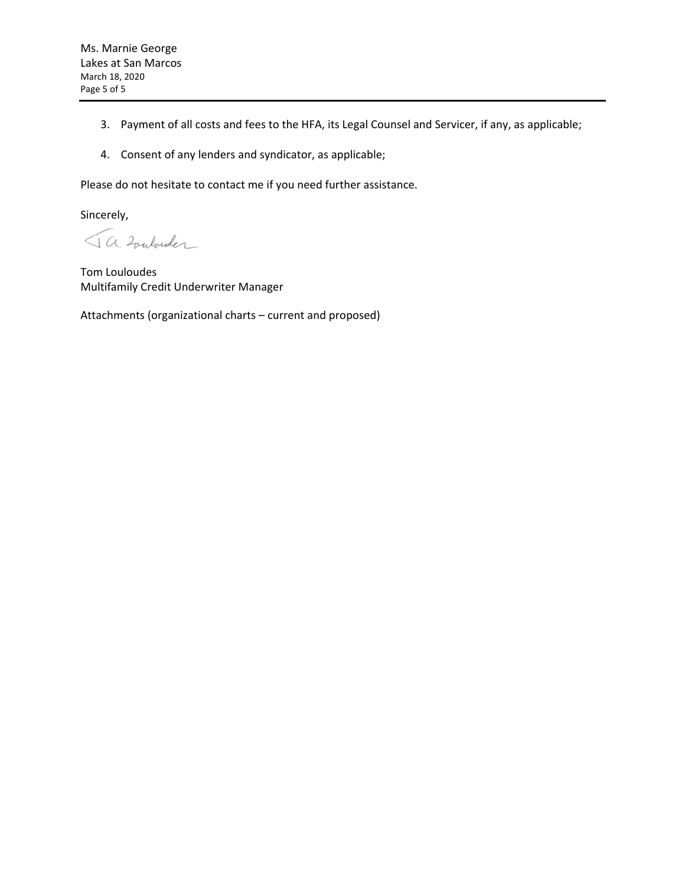- 3. Payment of all costs and fees to the HFA, its Legal Counsel and Servicer, if any, as applicable;
- 4. Consent of any lenders and syndicator, as applicable;

Please do not hesitate to contact me if you need further assistance.

Sincerely,

Ta Zoulouder

Tom Louloudes Multifamily Credit Underwriter Manager

Attachments (organizational charts – current and proposed)